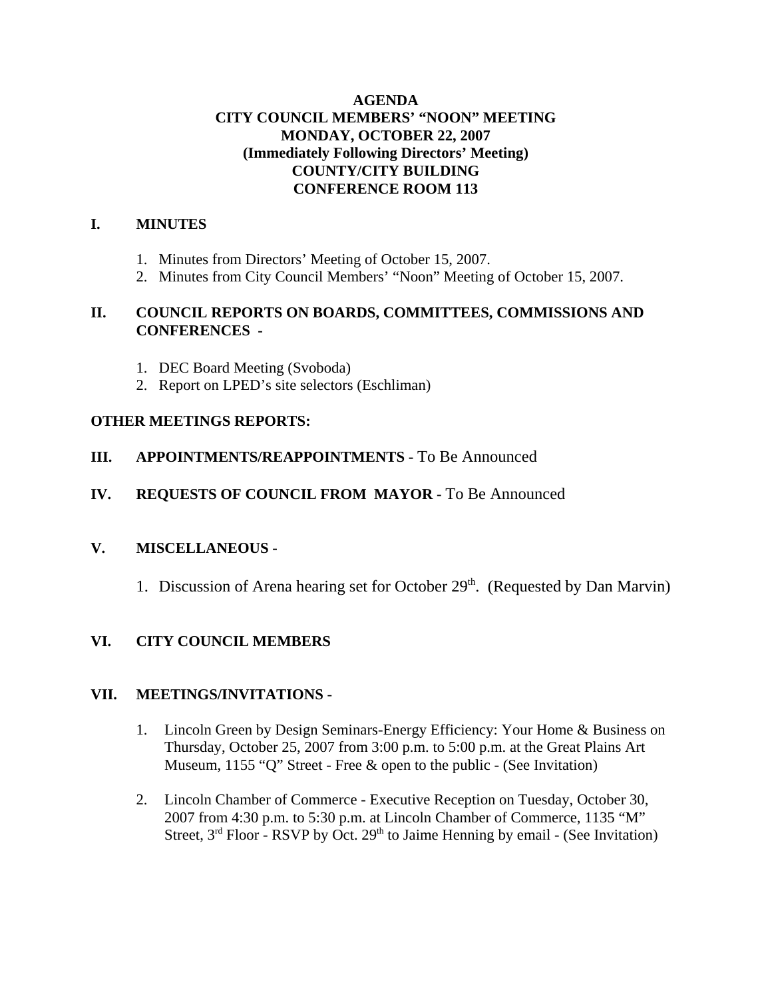## **AGENDA CITY COUNCIL MEMBERS' "NOON" MEETING MONDAY, OCTOBER 22, 2007 (Immediately Following Directors' Meeting) COUNTY/CITY BUILDING CONFERENCE ROOM 113**

#### **I. MINUTES**

- 1. Minutes from Directors' Meeting of October 15, 2007.
- 2. Minutes from City Council Members' "Noon" Meeting of October 15, 2007.

# **II. COUNCIL REPORTS ON BOARDS, COMMITTEES, COMMISSIONS AND CONFERENCES -**

- 1. DEC Board Meeting (Svoboda)
- 2. Report on LPED's site selectors (Eschliman)

## **OTHER MEETINGS REPORTS:**

**III.** APPOINTMENTS/REAPPOINTMENTS - To Be Announced

# **IV. REQUESTS OF COUNCIL FROM MAYOR -** To Be Announced

## **V. MISCELLANEOUS -**

1. Discussion of Arena hearing set for October  $29<sup>th</sup>$ . (Requested by Dan Marvin)

## **VI. CITY COUNCIL MEMBERS**

## **VII. MEETINGS/INVITATIONS** -

- 1. Lincoln Green by Design Seminars-Energy Efficiency: Your Home & Business on Thursday, October 25, 2007 from 3:00 p.m. to 5:00 p.m. at the Great Plains Art Museum, 1155 "Q" Street - Free & open to the public - (See Invitation)
- 2. Lincoln Chamber of Commerce Executive Reception on Tuesday, October 30, 2007 from 4:30 p.m. to 5:30 p.m. at Lincoln Chamber of Commerce, 1135 "M" Street,  $3<sup>rd</sup>$  Floor - RSVP by Oct.  $29<sup>th</sup>$  to Jaime Henning by email - (See Invitation)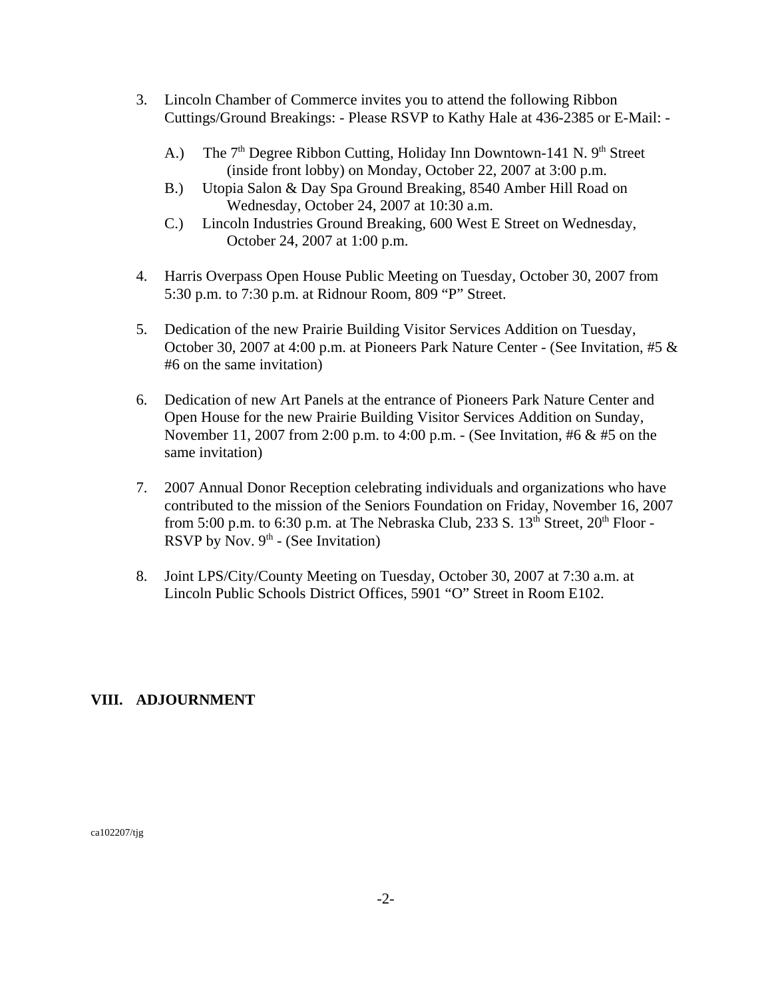- 3. Lincoln Chamber of Commerce invites you to attend the following Ribbon Cuttings/Ground Breakings: - Please RSVP to Kathy Hale at 436-2385 or E-Mail: -
	- A.) The  $7<sup>th</sup>$  Degree Ribbon Cutting, Holiday Inn Downtown-141 N. 9<sup>th</sup> Street (inside front lobby) on Monday, October 22, 2007 at 3:00 p.m.
	- B.) Utopia Salon & Day Spa Ground Breaking, 8540 Amber Hill Road on Wednesday, October 24, 2007 at 10:30 a.m.
	- C.) Lincoln Industries Ground Breaking, 600 West E Street on Wednesday, October 24, 2007 at 1:00 p.m.
- 4. Harris Overpass Open House Public Meeting on Tuesday, October 30, 2007 from 5:30 p.m. to 7:30 p.m. at Ridnour Room, 809 "P" Street.
- 5. Dedication of the new Prairie Building Visitor Services Addition on Tuesday, October 30, 2007 at 4:00 p.m. at Pioneers Park Nature Center - (See Invitation, #5 & #6 on the same invitation)
- 6. Dedication of new Art Panels at the entrance of Pioneers Park Nature Center and Open House for the new Prairie Building Visitor Services Addition on Sunday, November 11, 2007 from 2:00 p.m. to 4:00 p.m. - (See Invitation, #6 & #5 on the same invitation)
- 7. 2007 Annual Donor Reception celebrating individuals and organizations who have contributed to the mission of the Seniors Foundation on Friday, November 16, 2007 from 5:00 p.m. to 6:30 p.m. at The Nebraska Club, 233 S.  $13<sup>th</sup>$  Street,  $20<sup>th</sup>$  Floor -RSVP by Nov.  $9<sup>th</sup>$  - (See Invitation)
- 8. Joint LPS/City/County Meeting on Tuesday, October 30, 2007 at 7:30 a.m. at Lincoln Public Schools District Offices, 5901 "O" Street in Room E102.

## **VIII. ADJOURNMENT**

ca102207/tjg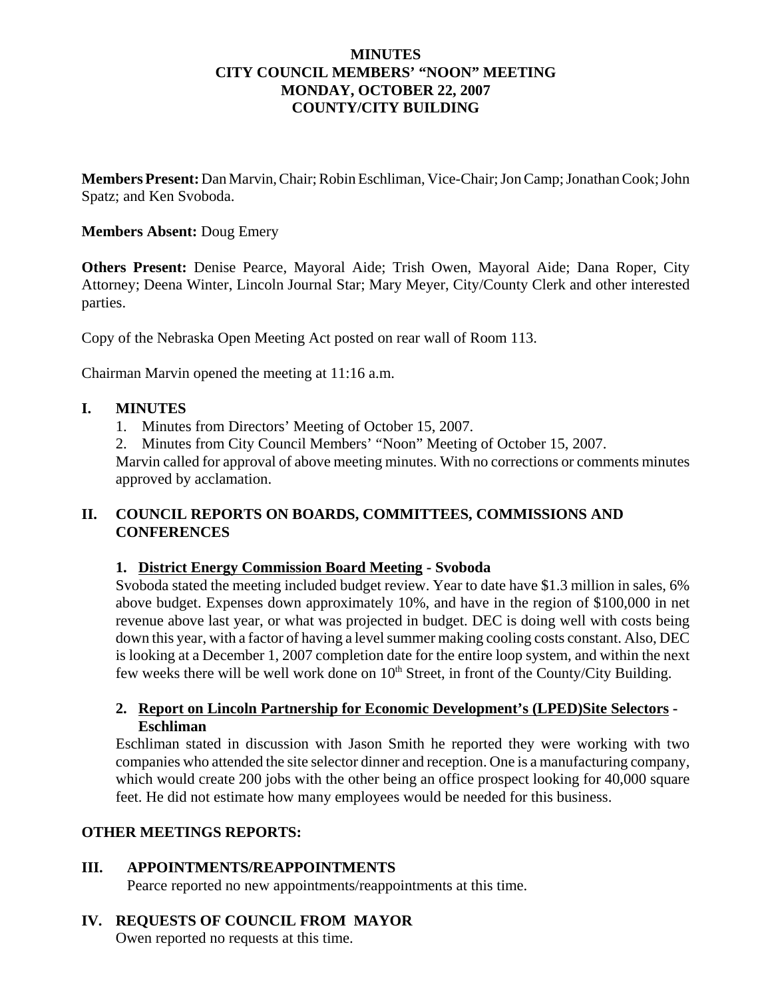## **MINUTES CITY COUNCIL MEMBERS' "NOON" MEETING MONDAY, OCTOBER 22, 2007 COUNTY/CITY BUILDING**

**Members Present:** Dan Marvin, Chair; Robin Eschliman, Vice-Chair; Jon Camp; Jonathan Cook; John Spatz; and Ken Svoboda.

#### **Members Absent:** Doug Emery

**Others Present:** Denise Pearce, Mayoral Aide; Trish Owen, Mayoral Aide; Dana Roper, City Attorney; Deena Winter, Lincoln Journal Star; Mary Meyer, City/County Clerk and other interested parties.

Copy of the Nebraska Open Meeting Act posted on rear wall of Room 113.

Chairman Marvin opened the meeting at 11:16 a.m.

## **I. MINUTES**

- 1. Minutes from Directors' Meeting of October 15, 2007.
- 2. Minutes from City Council Members' "Noon" Meeting of October 15, 2007.

Marvin called for approval of above meeting minutes. With no corrections or comments minutes approved by acclamation.

## **II. COUNCIL REPORTS ON BOARDS, COMMITTEES, COMMISSIONS AND CONFERENCES**

#### **1. District Energy Commission Board Meeting - Svoboda**

Svoboda stated the meeting included budget review. Year to date have \$1.3 million in sales, 6% above budget. Expenses down approximately 10%, and have in the region of \$100,000 in net revenue above last year, or what was projected in budget. DEC is doing well with costs being down this year, with a factor of having a level summer making cooling costs constant. Also, DEC is looking at a December 1, 2007 completion date for the entire loop system, and within the next few weeks there will be well work done on  $10<sup>th</sup>$  Street, in front of the County/City Building.

#### **2. Report on Lincoln Partnership for Economic Development's (LPED)Site Selectors - Eschliman**

Eschliman stated in discussion with Jason Smith he reported they were working with two companies who attended the site selector dinner and reception. One is a manufacturing company, which would create 200 jobs with the other being an office prospect looking for 40,000 square feet. He did not estimate how many employees would be needed for this business.

## **OTHER MEETINGS REPORTS:**

## **III. APPOINTMENTS/REAPPOINTMENTS**

Pearce reported no new appointments/reappointments at this time.

## **IV. REQUESTS OF COUNCIL FROM MAYOR**

Owen reported no requests at this time.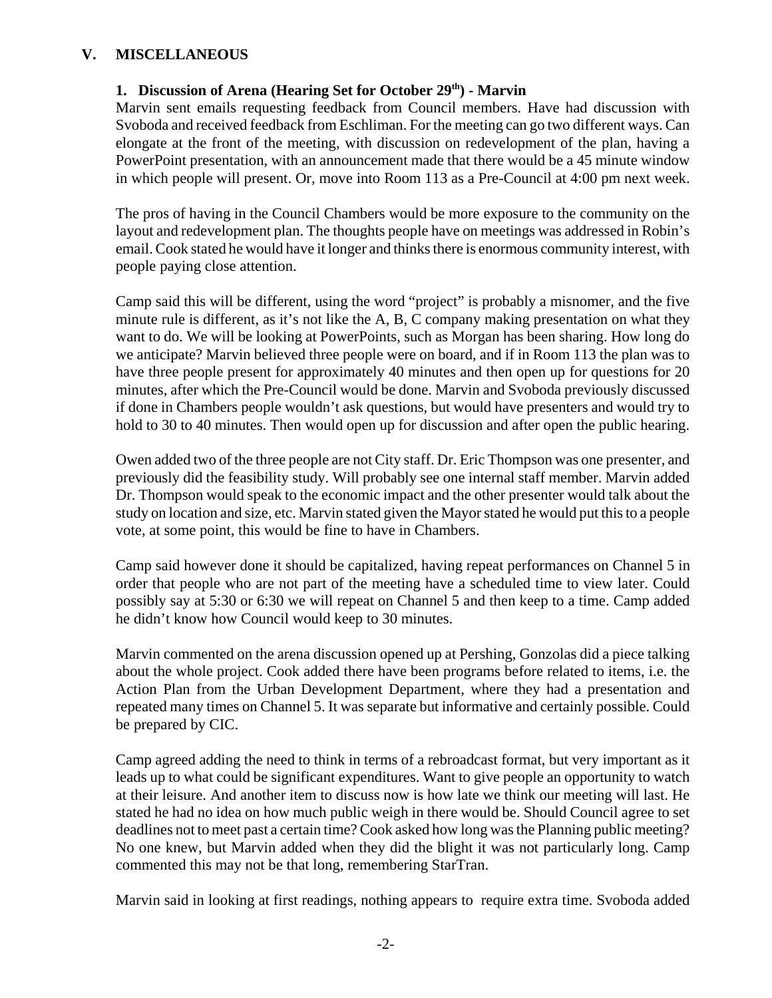# **V. MISCELLANEOUS**

# 1. Discussion of Arena (Hearing Set for October 29<sup>th</sup>) - Marvin

Marvin sent emails requesting feedback from Council members. Have had discussion with Svoboda and received feedback from Eschliman. For the meeting can go two different ways. Can elongate at the front of the meeting, with discussion on redevelopment of the plan, having a PowerPoint presentation, with an announcement made that there would be a 45 minute window in which people will present. Or, move into Room 113 as a Pre-Council at 4:00 pm next week.

The pros of having in the Council Chambers would be more exposure to the community on the layout and redevelopment plan. The thoughts people have on meetings was addressed in Robin's email. Cook stated he would have it longer and thinks there is enormous community interest, with people paying close attention.

Camp said this will be different, using the word "project" is probably a misnomer, and the five minute rule is different, as it's not like the A, B, C company making presentation on what they want to do. We will be looking at PowerPoints, such as Morgan has been sharing. How long do we anticipate? Marvin believed three people were on board, and if in Room 113 the plan was to have three people present for approximately 40 minutes and then open up for questions for 20 minutes, after which the Pre-Council would be done. Marvin and Svoboda previously discussed if done in Chambers people wouldn't ask questions, but would have presenters and would try to hold to 30 to 40 minutes. Then would open up for discussion and after open the public hearing.

Owen added two of the three people are not City staff. Dr. Eric Thompson was one presenter, and previously did the feasibility study. Will probably see one internal staff member. Marvin added Dr. Thompson would speak to the economic impact and the other presenter would talk about the study on location and size, etc. Marvin stated given the Mayor stated he would put this to a people vote, at some point, this would be fine to have in Chambers.

Camp said however done it should be capitalized, having repeat performances on Channel 5 in order that people who are not part of the meeting have a scheduled time to view later. Could possibly say at 5:30 or 6:30 we will repeat on Channel 5 and then keep to a time. Camp added he didn't know how Council would keep to 30 minutes.

Marvin commented on the arena discussion opened up at Pershing, Gonzolas did a piece talking about the whole project. Cook added there have been programs before related to items, i.e. the Action Plan from the Urban Development Department, where they had a presentation and repeated many times on Channel 5. It was separate but informative and certainly possible. Could be prepared by CIC.

Camp agreed adding the need to think in terms of a rebroadcast format, but very important as it leads up to what could be significant expenditures. Want to give people an opportunity to watch at their leisure. And another item to discuss now is how late we think our meeting will last. He stated he had no idea on how much public weigh in there would be. Should Council agree to set deadlines not to meet past a certain time? Cook asked how long was the Planning public meeting? No one knew, but Marvin added when they did the blight it was not particularly long. Camp commented this may not be that long, remembering StarTran.

Marvin said in looking at first readings, nothing appears to require extra time. Svoboda added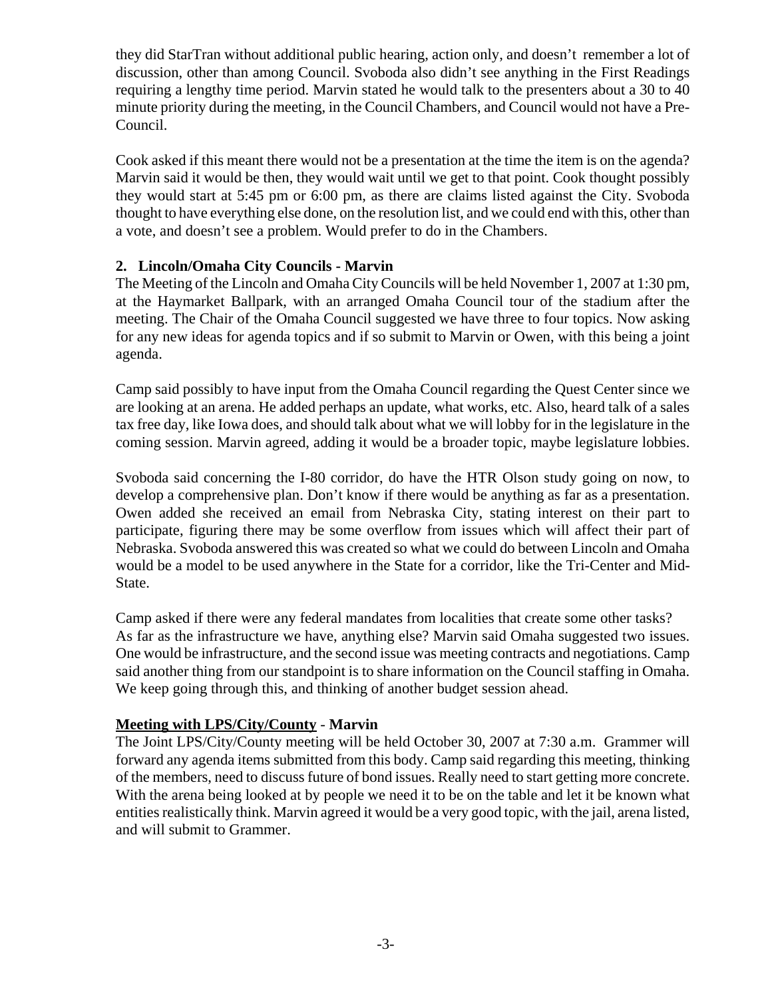they did StarTran without additional public hearing, action only, and doesn't remember a lot of discussion, other than among Council. Svoboda also didn't see anything in the First Readings requiring a lengthy time period. Marvin stated he would talk to the presenters about a 30 to 40 minute priority during the meeting, in the Council Chambers, and Council would not have a Pre-Council.

Cook asked if this meant there would not be a presentation at the time the item is on the agenda? Marvin said it would be then, they would wait until we get to that point. Cook thought possibly they would start at 5:45 pm or 6:00 pm, as there are claims listed against the City. Svoboda thought to have everything else done, on the resolution list, and we could end with this, other than a vote, and doesn't see a problem. Would prefer to do in the Chambers.

# **2. Lincoln/Omaha City Councils - Marvin**

The Meeting of the Lincoln and Omaha City Councils will be held November 1, 2007 at 1:30 pm, at the Haymarket Ballpark, with an arranged Omaha Council tour of the stadium after the meeting. The Chair of the Omaha Council suggested we have three to four topics. Now asking for any new ideas for agenda topics and if so submit to Marvin or Owen, with this being a joint agenda.

Camp said possibly to have input from the Omaha Council regarding the Quest Center since we are looking at an arena. He added perhaps an update, what works, etc. Also, heard talk of a sales tax free day, like Iowa does, and should talk about what we will lobby for in the legislature in the coming session. Marvin agreed, adding it would be a broader topic, maybe legislature lobbies.

Svoboda said concerning the I-80 corridor, do have the HTR Olson study going on now, to develop a comprehensive plan. Don't know if there would be anything as far as a presentation. Owen added she received an email from Nebraska City, stating interest on their part to participate, figuring there may be some overflow from issues which will affect their part of Nebraska. Svoboda answered this was created so what we could do between Lincoln and Omaha would be a model to be used anywhere in the State for a corridor, like the Tri-Center and Mid-State.

Camp asked if there were any federal mandates from localities that create some other tasks? As far as the infrastructure we have, anything else? Marvin said Omaha suggested two issues. One would be infrastructure, and the second issue was meeting contracts and negotiations. Camp said another thing from our standpoint is to share information on the Council staffing in Omaha. We keep going through this, and thinking of another budget session ahead.

## **Meeting with LPS/City/County** - **Marvin**

The Joint LPS/City/County meeting will be held October 30, 2007 at 7:30 a.m. Grammer will forward any agenda items submitted from this body. Camp said regarding this meeting, thinking of the members, need to discuss future of bond issues. Really need to start getting more concrete. With the arena being looked at by people we need it to be on the table and let it be known what entities realistically think. Marvin agreed it would be a very good topic, with the jail, arena listed, and will submit to Grammer.